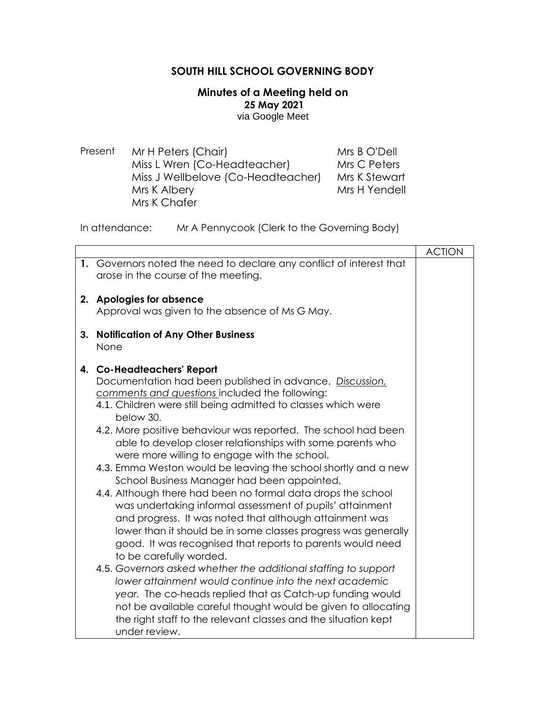## **SOUTH HILL SCHOOL GOVERNING BODY**

## **Minutes of a Meeting held on 25 May 2021** via Google Meet

Present Mr H Peters (Chair) Miss L Wren (Co-Headteacher) Miss J Wellbelove (Co-Headteacher) Mrs K Albery Mrs K Chafer Mrs B O'Dell Mrs C Peters Mrs K Stewart Mrs H Yendell

In attendance: Mr A Pennycook (Clerk to the Governing Body)

|    |                                                                                                                     | <b>ACTION</b> |
|----|---------------------------------------------------------------------------------------------------------------------|---------------|
|    | 1. Governors noted the need to declare any conflict of interest that<br>arose in the course of the meeting.         |               |
|    | 2. Apologies for absence                                                                                            |               |
|    | Approval was given to the absence of Ms G May.                                                                      |               |
| 3. | <b>Notification of Any Other Business</b>                                                                           |               |
|    | None                                                                                                                |               |
|    | 4. Co-Headteachers' Report                                                                                          |               |
|    | Documentation had been published in advance. Discussion,<br>comments and questions included the following:          |               |
|    | 4.1. Children were still being admitted to classes which were<br>below 30.                                          |               |
|    | 4.2. More positive behaviour was reported. The school had been                                                      |               |
|    | able to develop closer relationships with some parents who                                                          |               |
|    | were more willing to engage with the school.<br>4.3. Emma Weston would be leaving the school shortly and a new      |               |
|    | School Business Manager had been appointed,                                                                         |               |
|    | 4.4. Although there had been no formal data drops the school                                                        |               |
|    | was undertaking informal assessment of pupils' attainment                                                           |               |
|    | and progress. It was noted that although attainment was                                                             |               |
|    | lower than it should be in some classes progress was generally                                                      |               |
|    | good. It was recognised that reports to parents would need                                                          |               |
|    | to be carefully worded.                                                                                             |               |
|    | 4.5. Governors asked whether the additional staffing to support                                                     |               |
|    | lower attainment would continue into the next academic<br>year. The co-heads replied that as Catch-up funding would |               |
|    | not be available careful thought would be given to allocating                                                       |               |
|    | the right staff to the relevant classes and the situation kept                                                      |               |
|    | under review.                                                                                                       |               |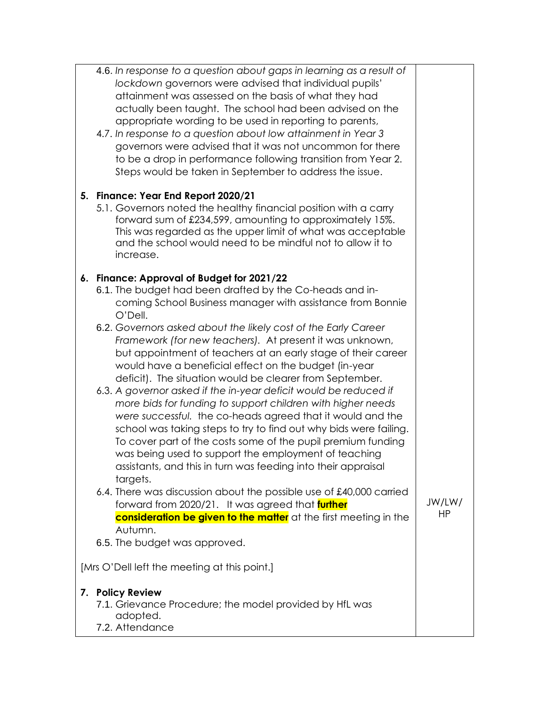|                                              | 4.6. In response to a question about gaps in learning as a result of<br>lockdown governors were advised that individual pupils'<br>attainment was assessed on the basis of what they had<br>actually been taught. The school had been advised on the<br>appropriate wording to be used in reporting to parents,<br>4.7. In response to a question about low attainment in Year 3<br>governors were advised that it was not uncommon for there<br>to be a drop in performance following transition from Year 2.<br>Steps would be taken in September to address the issue.<br>5. Finance: Year End Report 2020/21<br>5.1. Governors noted the healthy financial position with a carry<br>forward sum of £234,599, amounting to approximately 15%.<br>This was regarded as the upper limit of what was acceptable<br>and the school would need to be mindful not to allow it to<br>increase.                                                                                     |              |  |
|----------------------------------------------|--------------------------------------------------------------------------------------------------------------------------------------------------------------------------------------------------------------------------------------------------------------------------------------------------------------------------------------------------------------------------------------------------------------------------------------------------------------------------------------------------------------------------------------------------------------------------------------------------------------------------------------------------------------------------------------------------------------------------------------------------------------------------------------------------------------------------------------------------------------------------------------------------------------------------------------------------------------------------------|--------------|--|
|                                              | 6. Finance: Approval of Budget for 2021/22<br>6.1. The budget had been drafted by the Co-heads and in-<br>coming School Business manager with assistance from Bonnie<br>O'Dell.<br>6.2. Governors asked about the likely cost of the Early Career<br>Framework (for new teachers). At present it was unknown,<br>but appointment of teachers at an early stage of their career<br>would have a beneficial effect on the budget (in-year<br>deficit). The situation would be clearer from September.<br>6.3. A governor asked if the in-year deficit would be reduced if<br>more bids for funding to support children with higher needs<br>were successful. the co-heads agreed that it would and the<br>school was taking steps to try to find out why bids were failing.<br>To cover part of the costs some of the pupil premium funding<br>was being used to support the employment of teaching<br>assistants, and this in turn was feeding into their appraisal<br>targets. |              |  |
|                                              | 6.4. There was discussion about the possible use of £40,000 carried<br>forward from 2020/21. It was agreed that further<br>consideration be given to the matter at the first meeting in the<br>Autumn.<br>6.5. The budget was approved.                                                                                                                                                                                                                                                                                                                                                                                                                                                                                                                                                                                                                                                                                                                                        | JW/LW/<br>HP |  |
| [Mrs O'Dell left the meeting at this point.] |                                                                                                                                                                                                                                                                                                                                                                                                                                                                                                                                                                                                                                                                                                                                                                                                                                                                                                                                                                                |              |  |
|                                              | 7. Policy Review<br>7.1. Grievance Procedure; the model provided by HfL was<br>adopted.<br>7.2. Attendance                                                                                                                                                                                                                                                                                                                                                                                                                                                                                                                                                                                                                                                                                                                                                                                                                                                                     |              |  |